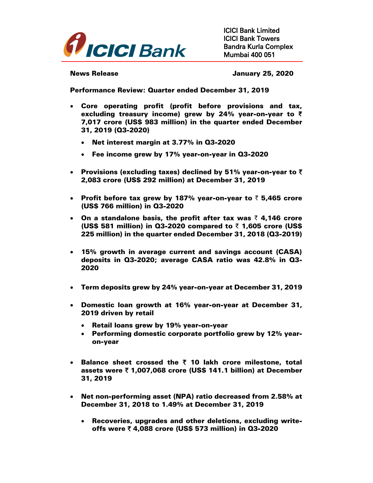

ICICI Bank Limited ICICI Bank Towers Bandra Kurla Complex Mumbai 400 051

News Release **News** Release **January 25, 2020** 

Performance Review: Quarter ended December 31, 2019

- Core operating profit (profit before provisions and tax, excluding treasury income) grew by 24% year-on-year to **₹** 7,017 crore (US\$ 983 million) in the quarter ended December 31, 2019 (Q3-2020)
	- Net interest margin at 3.77% in Q3-2020
	- Fee income grew by 17% year-on-year in Q3-2020
- Provisions (excluding taxes) declined by 51% year-on-year to  $\bar{z}$ 2,083 crore (US\$ 292 million) at December 31, 2019
- Profit before tax grew by 187% year-on-year to  $\bar{z}$  5,465 crore (US\$ 766 million) in Q3-2020
- On a standalone basis, the profit after tax was  $\bar{\tau}$  4,146 crore (US\$ 581 million) in Q3-2020 compared to  $\bar{z}$  1,605 crore (US\$ 225 million) in the quarter ended December 31, 2018 (Q3-2019)
- 15% growth in average current and savings account (CASA) deposits in Q3-2020; average CASA ratio was 42.8% in Q3- 2020
- Term deposits grew by 24% year-on-year at December 31, 2019
- Domestic loan growth at 16% year-on-year at December 31, 2019 driven by retail
	- Retail loans grew by 19% year-on-year
	- Performing domestic corporate portfolio grew by 12% yearon-year
- Balance sheet crossed the  $\bar{\tau}$  10 lakh crore milestone, total assets were  $\bar{z}$  1,007,068 crore (US\$ 141.1 billion) at December 31, 2019
- Net non-performing asset (NPA) ratio decreased from 2.58% at December 31, 2018 to 1.49% at December 31, 2019
	- Recoveries, upgrades and other deletions, excluding writeoffs were ₹ 4,088 crore (US\$ 573 million) in Q3-2020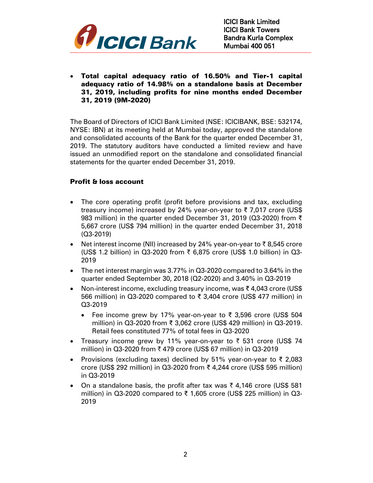

 Total capital adequacy ratio of 16.50% and Tier-1 capital adequacy ratio of 14.98% on a standalone basis at December 31, 2019, including profits for nine months ended December 31, 2019 (9M-2020)

The Board of Directors of ICICI Bank Limited (NSE: ICICIBANK, BSE: 532174, NYSE: IBN) at its meeting held at Mumbai today, approved the standalone and consolidated accounts of the Bank for the quarter ended December 31, 2019. The statutory auditors have conducted a limited review and have issued an unmodified report on the standalone and consolidated financial statements for the quarter ended December 31, 2019.

## Profit & loss account

- The core operating profit (profit before provisions and tax, excluding treasury income) increased by 24% year-on-year to ₹ 7,017 crore (US\$ 983 million) in the quarter ended December 31, 2019 (Q3-2020) from ₹ 5,667 crore (US\$ 794 million) in the quarter ended December 31, 2018 (Q3-2019)
- Net interest income (NII) increased by 24% year-on-year to  $\bar{\tau}$  8,545 crore (US\$ 1.2 billion) in Q3-2020 from  $\bar{\tau}$  6,875 crore (US\$ 1.0 billion) in Q3-2019
- The net interest margin was 3.77% in Q3-2020 compared to 3.64% in the quarter ended September 30, 2018 (Q2-2020) and 3.40% in Q3-2019
- Non-interest income, excluding treasury income, was ₹ 4,043 crore (US\$ 566 million) in Q3-2020 compared to ₹ 3,404 crore (US\$ 477 million) in Q3-2019
	- Fee income grew by 17% year-on-year to ₹ 3,596 crore (US\$ 504 million) in Q3-2020 from ₹ 3,062 crore (US\$ 429 million) in Q3-2019. Retail fees constituted 77% of total fees in Q3-2020
- Treasury income grew by 11% year-on-year to  $\bar{\tau}$  531 crore (US\$ 74 million) in Q3-2020 from ₹479 crore (US\$ 67 million) in Q3-2019
- Provisions (excluding taxes) declined by 51% year-on-year to ₹ 2,083 crore (US\$ 292 million) in Q3-2020 from ₹ 4,244 crore (US\$ 595 million) in Q3-2019
- On a standalone basis, the profit after tax was  $\bar{\tau}$  4,146 crore (US\$ 581 million) in Q3-2020 compared to ₹ 1,605 crore (US\$ 225 million) in Q3- 2019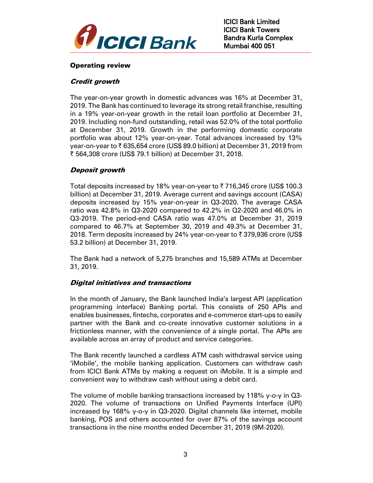

# Operating review

## Credit growth

The year-on-year growth in domestic advances was 16% at December 31, 2019. The Bank has continued to leverage its strong retail franchise, resulting in a 19% year-on-year growth in the retail loan portfolio at December 31, 2019. Including non-fund outstanding, retail was 52.0% of the total portfolio at December 31, 2019. Growth in the performing domestic corporate portfolio was about 12% year-on-year. Total advances increased by 13% year-on-year to  $\overline{\mathfrak{c}}$  635,654 crore (US\$ 89.0 billion) at December 31, 2019 from ` 564,308 crore (US\$ 79.1 billion) at December 31, 2018.

# Deposit growth

Total deposits increased by 18% year-on-year to  $\bar{\tau}$  716,345 crore (US\$ 100.3) billion) at December 31, 2019. Average current and savings account (CASA) deposits increased by 15% year-on-year in Q3-2020. The average CASA ratio was 42.8% in Q3-2020 compared to 42.2% in Q2-2020 and 46.0% in Q3-2019. The period-end CASA ratio was 47.0% at December 31, 2019 compared to 46.7% at September 30, 2019 and 49.3% at December 31, 2018. Term deposits increased by 24% year-on-year to  $\bar{\tau}$  379,936 crore (US\$ 53.2 billion) at December 31, 2019.

The Bank had a network of 5,275 branches and 15,589 ATMs at December 31, 2019.

## Digital initiatives and transactions

In the month of January, the Bank launched India's largest API (application programming interface) Banking portal. This consists of 250 APIs and enables businesses, fintechs, corporates and e-commerce start-ups to easily partner with the Bank and co-create innovative customer solutions in a frictionless manner, with the convenience of a single portal. The APIs are available across an array of product and service categories.

The Bank recently launched a cardless ATM cash withdrawal service using 'iMobile', the mobile banking application. Customers can withdraw cash from ICICI Bank ATMs by making a request on iMobile. It is a simple and convenient way to withdraw cash without using a debit card.

The volume of mobile banking transactions increased by 118% y-o-y in Q3- 2020. The volume of transactions on Unified Payments Interface (UPI) increased by 168% y-o-y in Q3-2020. Digital channels like internet, mobile banking, POS and others accounted for over 87% of the savings account transactions in the nine months ended December 31, 2019 (9M-2020).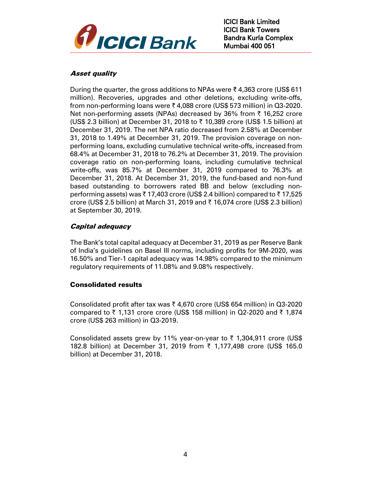

# Asset quality

During the quarter, the gross additions to NPAs were ₹ 4,363 crore (US\$ 611 million). Recoveries, upgrades and other deletions, excluding write-offs, from non-performing loans were ₹ 4,088 crore (US\$ 573 million) in Q3-2020. Net non-performing assets (NPAs) decreased by 36% from  $\bar{\tau}$  16,252 crore (US\$ 2.3 billion) at December 31, 2018 to  $\bar{\tau}$  10,389 crore (US\$ 1.5 billion) at December 31, 2019. The net NPA ratio decreased from 2.58% at December 31, 2018 to 1.49% at December 31, 2019. The provision coverage on nonperforming loans, excluding cumulative technical write-offs, increased from 68.4% at December 31, 2018 to 76.2% at December 31, 2019. The provision coverage ratio on non-performing loans, including cumulative technical write-offs, was 85.7% at December 31, 2019 compared to 76.3% at December 31, 2018. At December 31, 2019, the fund-based and non-fund based outstanding to borrowers rated BB and below (excluding nonperforming assets) was  $\bar{\xi}$  17,403 crore (US\$ 2.4 billion) compared to  $\bar{\xi}$  17,525 crore (US\$ 2.5 billion) at March 31, 2019 and  $\bar{\tau}$  16,074 crore (US\$ 2.3 billion) at September 30, 2019.

# Capital adequacy

The Bank's total capital adequacy at December 31, 2019 as per Reserve Bank of India's guidelines on Basel III norms, including profits for 9M-2020, was 16.50% and Tier-1 capital adequacy was 14.98% compared to the minimum regulatory requirements of 11.08% and 9.08% respectively.

## Consolidated results

Consolidated profit after tax was  $\bar{\tau}$  4,670 crore (US\$ 654 million) in Q3-2020 compared to  $\bar{\tau}$  1,131 crore crore (US\$ 158 million) in Q2-2020 and  $\bar{\tau}$  1,874 crore (US\$ 263 million) in Q3-2019.

Consolidated assets grew by 11% year-on-year to  $\bar{\tau}$  1,304,911 crore (US\$ 182.8 billion) at December 31, 2019 from  $\bar{\tau}$  1,177,498 crore (US\$ 165.0 billion) at December 31, 2018.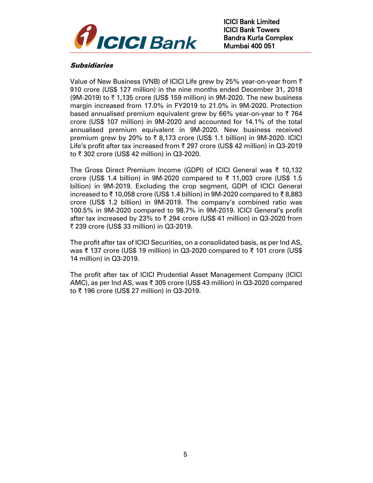

## Subsidiaries

Value of New Business (VNB) of ICICI Life grew by 25% year-on-year from  $\bar{\tau}$ 910 crore (US\$ 127 million) in the nine months ended December 31, 2018  $(9M-2019)$  to  $\overline{\zeta}$  1,135 crore (US\$ 159 million) in 9M-2020. The new business margin increased from 17.0% in FY2019 to 21.0% in 9M-2020. Protection based annualised premium equivalent grew by 66% year-on-year to  $\bar{z}$  764 crore (US\$ 107 million) in 9M-2020 and accounted for 14.1% of the total annualised premium equivalent in 9M-2020. New business received premium grew by 20% to  $\overline{\xi}$  8,173 crore (US\$ 1.1 billion) in 9M-2020. ICICI Life's profit after tax increased from  $\bar{\tau}$  297 crore (US\$ 42 million) in Q3-2019 to ₹ 302 crore (US\$ 42 million) in Q3-2020.

The Gross Direct Premium Income (GDPI) of ICICI General was ₹ 10,132 crore (US\$ 1.4 billion) in 9M-2020 compared to ₹ 11,003 crore (US\$ 1.5 billion) in 9M-2019. Excluding the crop segment, GDPI of ICICI General increased to ₹ 10,058 crore (US\$ 1.4 billion) in 9M-2020 compared to ₹ 8,883 crore (US\$ 1.2 billion) in 9M-2019. The company's combined ratio was 100.5% in 9M-2020 compared to 98.7% in 9M-2019. ICICI General's profit after tax increased by 23% to  $\bar{\tau}$  294 crore (US\$ 41 million) in Q3-2020 from ₹ 239 crore (US\$ 33 million) in Q3-2019.

The profit after tax of ICICI Securities, on a consolidated basis, as per Ind AS, was ₹ 137 crore (US\$ 19 million) in Q3-2020 compared to ₹ 101 crore (US\$ 14 million) in Q3-2019.

The profit after tax of ICICI Prudential Asset Management Company (ICICI AMC), as per Ind AS, was ₹ 305 crore (US\$ 43 million) in Q3-2020 compared to ₹ 196 crore (US\$ 27 million) in Q3-2019.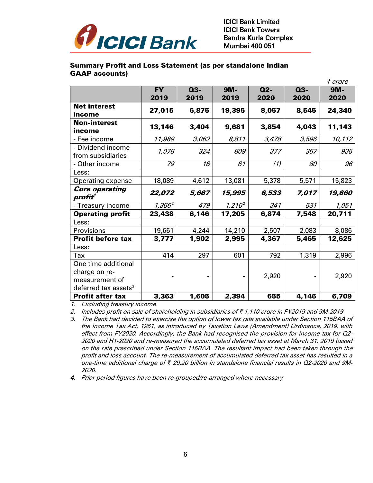

## Summary Profit and Loss Statement (as per standalone Indian GAAP accounts)

|                                              |           |       |           |       |       | ₹ crore |
|----------------------------------------------|-----------|-------|-----------|-------|-------|---------|
|                                              | <b>FY</b> | $Q3-$ | 9M-       | $Q2-$ | $Q3-$ | 9M-     |
|                                              | 2019      | 2019  | 2019      | 2020  | 2020  | 2020    |
| <b>Net interest</b>                          | 27,015    | 6,875 | 19,395    | 8,057 | 8,545 | 24,340  |
| income<br><b>Non-interest</b>                |           |       |           |       |       |         |
| income                                       | 13,146    | 3,404 | 9,681     | 3,854 | 4,043 | 11,143  |
| - Fee income                                 | 11,989    | 3,062 | 8,811     | 3,478 | 3,596 | 10,112  |
| - Dividend income<br>from subsidiaries       | 1,078     | 324   | 809       | 377   | 367   | 935     |
| - Other income                               | 79        | 18    | 61        | (1)   | 80    | 96      |
| Less:                                        |           |       |           |       |       |         |
| Operating expense                            | 18,089    | 4,612 | 13,081    | 5,378 | 5,571 | 15,823  |
| <b>Core operating</b><br>profit <sup>1</sup> | 22,072    | 5,667 | 15,995    | 6,533 | 7,017 | 19,660  |
| - Treasury income                            | $1,366^2$ | 479   | $1,210^2$ | 341   | 531   | 1,051   |
| <b>Operating profit</b>                      | 23,438    | 6,146 | 17,205    | 6,874 | 7,548 | 20,711  |
| Less:                                        |           |       |           |       |       |         |
| Provisions                                   | 19,661    | 4,244 | 14,210    | 2,507 | 2,083 | 8,086   |
| Profit before tax                            | 3,777     | 1,902 | 2,995     | 4,367 | 5,465 | 12,625  |
| Less:                                        |           |       |           |       |       |         |
| Tax                                          | 414       | 297   | 601       | 792   | 1,319 | 2,996   |
| One time additional                          |           |       |           |       |       |         |
| charge on re-                                |           |       |           | 2,920 |       | 2,920   |
| measurement of                               |           |       |           |       |       |         |
| deferred tax assets <sup>3</sup>             |           |       |           |       |       |         |
| <b>Profit after tax</b>                      | 3,363     | 1,605 | 2,394     | 655   | 4,146 | 6,709   |

1. Excluding treasury income

2. Includes profit on sale of shareholding in subsidiaries of  $\bar{\tau}$  1,110 crore in FY2019 and 9M-2019

- 3. The Bank had decided to exercise the option of lower tax rate available under Section 115BAA of the Income Tax Act, 1961, as introduced by Taxation Laws (Amendment) Ordinance, 2019, with effect from FY2020. Accordingly, the Bank had recognised the provision for income tax for Q2- 2020 and H1-2020 and re-measured the accumulated deferred tax asset at March 31, 2019 based on the rate prescribed under Section 115BAA. The resultant impact had been taken through the profit and loss account. The re-measurement of accumulated deferred tax asset has resulted in a one-time additional charge of *₹* 29.20 billion in standalone financial results in Q2-2020 and 9M-2020.
- 4. Prior period figures have been re-grouped/re-arranged where necessary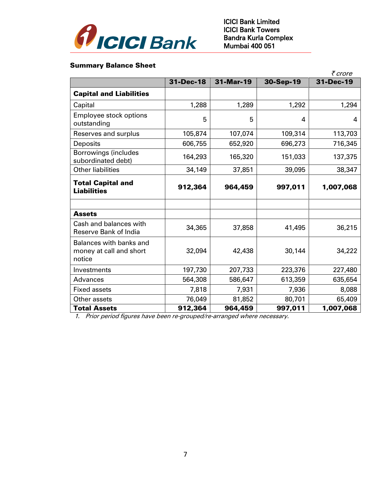

# Summary Balance Sheet

|                                                              |           |           |           | ₹ crore   |
|--------------------------------------------------------------|-----------|-----------|-----------|-----------|
|                                                              | 31-Dec-18 | 31-Mar-19 | 30-Sep-19 | 31-Dec-19 |
| <b>Capital and Liabilities</b>                               |           |           |           |           |
| Capital                                                      | 1,288     | 1,289     | 1,292     | 1,294     |
| Employee stock options<br>outstanding                        | 5         | 5         | 4         | 4         |
| Reserves and surplus                                         | 105,874   | 107,074   | 109,314   | 113,703   |
| Deposits                                                     | 606,755   | 652,920   | 696,273   | 716,345   |
| <b>Borrowings (includes</b><br>subordinated debt)            | 164,293   | 165,320   | 151,033   | 137,375   |
| <b>Other liabilities</b>                                     | 34,149    | 37,851    | 39,095    | 38,347    |
| <b>Total Capital and</b><br><b>Liabilities</b>               | 912,364   | 964,459   | 997,011   | 1,007,068 |
|                                                              |           |           |           |           |
| <b>Assets</b>                                                |           |           |           |           |
| Cash and balances with<br><b>Reserve Bank of India</b>       | 34,365    | 37,858    | 41,495    | 36,215    |
| Balances with banks and<br>money at call and short<br>notice | 32,094    | 42,438    | 30,144    | 34,222    |
| Investments                                                  | 197,730   | 207,733   | 223,376   | 227,480   |
| Advances                                                     | 564,308   | 586,647   | 613,359   | 635,654   |
| <b>Fixed assets</b>                                          | 7,818     | 7,931     | 7,936     | 8,088     |
| Other assets                                                 | 76,049    | 81,852    | 80,701    | 65,409    |
| <b>Total Assets</b>                                          | 912,364   | 964,459   | 997,011   | 1,007,068 |

1. Prior period figures have been re-grouped/re-arranged where necessary.